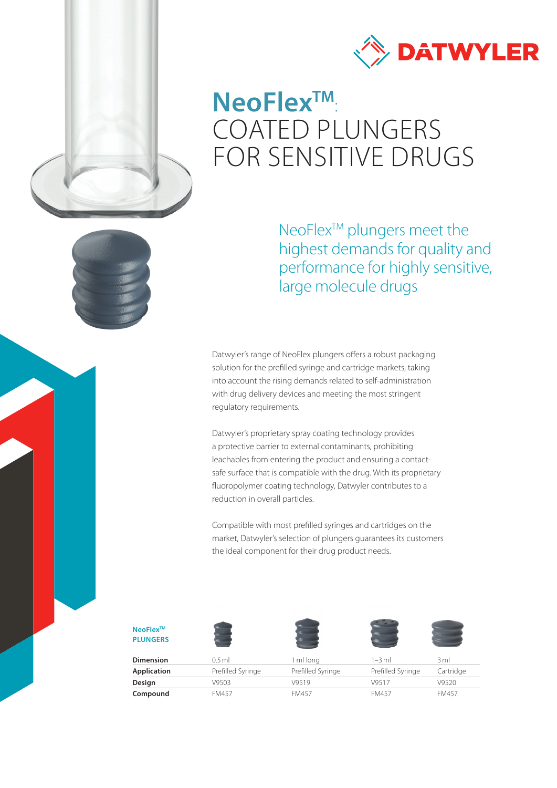



## **NeoFlexTM** : COATED PLUNGERS FOR SENSITIVE DRUGS

NeoFlex<sup>™</sup> plungers meet the highest demands for quality and performance for highly sensitive, large molecule drugs

Datwyler's range of NeoFlex plungers offers a robust packaging solution for the prefilled syringe and cartridge markets, taking into account the rising demands related to self-administration with drug delivery devices and meeting the most stringent regulatory requirements.

Datwyler's proprietary spray coating technology provides a protective barrier to external contaminants, prohibiting leachables from entering the product and ensuring a contactsafe surface that is compatible with the drug. With its proprietary fluoropolymer coating technology, Datwyler contributes to a reduction in overall particles.

Compatible with most prefilled syringes and cartridges on the market, Datwyler's selection of plungers guarantees its customers the ideal component for their drug product needs.

#### **NeoFlexTM PLUNGERS**









| <b>Dimension</b> | $0.5$ ml          | ml lona           | 1–3 ml            | 3 ml         |
|------------------|-------------------|-------------------|-------------------|--------------|
| Application      | Prefilled Syringe | Prefilled Syringe | Prefilled Syringe | Cartridge    |
| Design           | V9503             | V9519             | V9517             | V9520        |
| Compound         | <b>FM457</b>      | FM457             | <b>FM457</b>      | <b>FM457</b> |